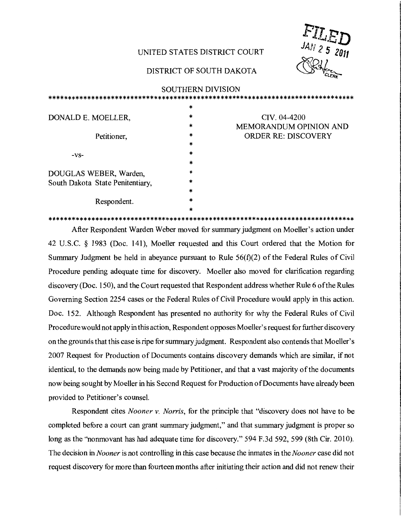## UNITED STATES DISTRICT COURT

## DISTRICT OF SOUTH DAKOTA

|     | JAN 2 5 2011      |
|-----|-------------------|
| HAL | ∽                 |
|     | <b>ILED</b><br>۷ē |

|                                   | <b>SOUTHERN DIVISION</b> |                            |
|-----------------------------------|--------------------------|----------------------------|
|                                   |                          |                            |
|                                   | $\ast$                   |                            |
| DONALD E. MOELLER,<br>Petitioner, | ∗                        | CIV. 04-4200               |
|                                   | $\ast$                   | MEMORANDUM OPINION AND     |
|                                   | *                        | <b>ORDER RE: DISCOVERY</b> |
|                                   | $\ast$                   |                            |
| $-VS-$                            | $\ast$                   |                            |
|                                   | *                        |                            |
| DOUGLAS WEBER, Warden,            | $\ast$                   |                            |
| South Dakota State Penitentiary,  | $\ast$                   |                            |
|                                   | $\ast$                   |                            |
| Respondent.                       | $\ast$                   |                            |
|                                   |                          |                            |

After Respondent Warden Weber moved for summary judgment on Moeller's action under 42 U.S.C. § 1983 (Doc. 141), Moeller requested and this Court ordered that the Motion for Summary Judgment be held in abeyance pursuant to Rule  $56(f)(2)$  of the Federal Rules of Civil Procedure pending adequate time for discovery. Moeller also moved for clarification regarding discovery (Doc. 150), and the Court requested that Respondent address whether Rule 6 of the Rules Governing Section 2254 cases or the Federal Rules of Civil Procedure would apply in this action. Doc. 152. Although Respondent has presented no authority for why the Federal Rules of Civil Procedure would not apply in this action, Respondent opposes Moeller's request for further discovery on the grounds that this case is ripe for summary judgment. Respondent also contends that Moeller's 2007 Request for Production of Documents contains discovery demands which are similar, if not identical, to the demands now being made by Petitioner, and that a vast majority of the documents now being sought by Moeller in his Second Request for Production of Documents have already been provided to Petitioner's counsel.

Respondent cites *Nooner v. Norris*, for the principle that "discovery does not have to be completed before a court can grant summary judgment," and that summary judgment is proper so long as the "nonmovant has had adequate time for discovery." 594 F.3d 592, 599 (8th Cir. 2010). The decision in *Nooner* is not controlling in this case because the inmates in the *Nooner* case did not request discovery for more than fourteen months after initiating their action and did not renew their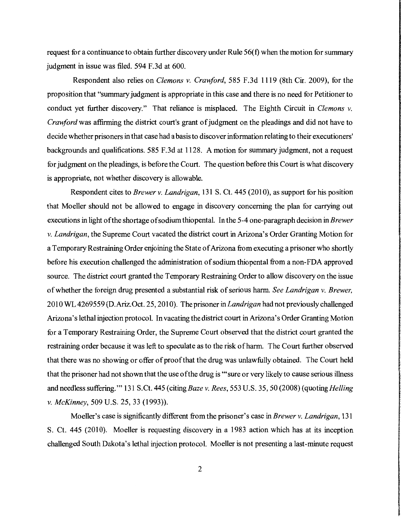request for a continuance to obtain further discovery under Rule 56(f) when the motion for summary judgment in issue was filed. 594 F.3d at 600.

Respondent also relies on *Clemons v. Crawford*, 585 F.3d 1119 (8th Cir. 2009), for the proposition that "summary judgment is appropriate in this case and there is no need for Petitioner to conduct yet further discovery." That reliance is misplaced. The Eighth Circuit in *Clemons* v. *Crawford* was affirming the district court's grant of judgment on the pleadings and did not have to decide whether prisoners in that case had a basis to discover information relating to their executioners' backgrounds and qualifications. 585 F.3d at 1128. A motion for summary judgment, not a request for judgment on the pleadings, is before the Court. The question before this Court is what discovery is appropriate, not whether discovery is allowable.

Respondent cites to *Brewer* v. *Landrigan,* 131 S. Ct. 445 (201 0), as support for his position that Moeller should not be allowed to engage in discovery concerning the plan for carrying out executions in light ofthe shortage ofsodium thiopental. In the 5-4 one-paragraph decision in *Brewer*  v. *Landrigan,* the Supreme Court vacated the district court in Arizona's Order Granting Motion for a Temporary Restraining Order enjoining the State of Arizona from executing a prisoner who shortly before his execution challenged the administration of sodium thiopental from a non-FDA approved source. The district court granted the Temporary Restraining Order to allow discovery on the issue of whether the foreign drug presented a substantial risk of serious harm. *See Landrigan v. Brewer*, 201 0 WL 4269559 (D.Ariz.Oct. 25, 201 0). The prisoner in *Landrigan* had not previously challenged Arizona's lethal injection protocol. In vacating the district court in Arizona's Order Granting Motion for a Temporary Restraining Order, the Supreme Court observed that the district court granted the restraining order because it was left to speculate as to the risk of harm. The Court further observed that there was no showing or offer of proof that the drug was unlawfully obtained. The Court held that the prisoner had not shown that the use ofthe drug is '''sure or very likely to cause serious illness and needless suffering." 131 S.Ct. 445 (citing *Baze v. Rees*, 553 U.S. 35, 50 (2008) (quoting *Helling* v. *McKinney,* 509 U.S. 25, 33 (1993)).

Moeller's case is significantly different from the prisoner's case in *Brewer* v. *Landrigan, 131*  S. Ct. 445 (2010). Moeller is requesting discovery in a 1983 action which has at its inception challenged South Dakota's lethal injection protocol. Moeller is not presenting a last-minute request